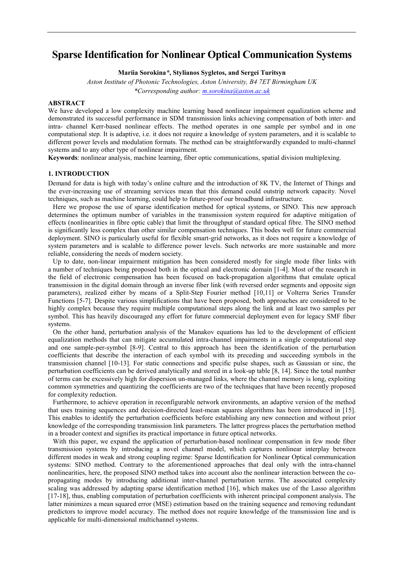# **Sparse Identification for Nonlinear Optical Communication Systems**

**Mariia Sorokina***\****, Stylianos Sygletos, and Sergei Turitsyn**

*Aston Institute of Photonic Technologies, Aston University, B4 7ET Birmingham UK \*Corresponding author: m.sorokina@aston.ac.uk*

### **ABSTRACT**

We have developed a low complexity machine learning based nonlinear impairment equalization scheme and demonstrated its successful performance in SDM transmission links achieving compensation of both inter- and intra- channel Kerr-based nonlinear effects. The method operates in one sample per symbol and in one computational step. It is adaptive, i.e. it does not require a knowledge of system parameters, and it is scalable to different power levels and modulation formats. The method can be straightforwardly expanded to multi-channel systems and to any other type of nonlinear impairment.

**Keywords**: nonlinear analysis, machine learning, fiber optic communications, spatial division multiplexing.

#### **1. INTRODUCTION**

Demand for data is high with today's online culture and the introduction of 8K TV, the Internet of Things and the ever-increasing use of streaming services mean that this demand could outstrip network capacity. Novel techniques, such as machine learning, could help to future-proof our broadband infrastructure.

Here we propose the use of sparse identification method for optical systems, or SINO. This new approach determines the optimum number of variables in the transmission system required for adaptive mitigation of effects (nonlinearities in fibre optic cable) that limit the throughput of standard optical fibre. The SINO method is significantly less complex than other similar compensation techniques. This bodes well for future commercial deployment. SINO is particularly useful for flexible smart-grid networks, as it does not require a knowledge of system parameters and is scalable to difference power levels. Such networks are more sustainable and more reliable, considering the needs of modern society.

Up to date, non-linear impairment mitigation has been considered mostly for single mode fiber links with a number of techniques being proposed both in the optical and electronic domain [1-4]. Most of the research in the field of electronic compensation has been focused on back-propagation algorithms that emulate optical transmission in the digital domain through an inverse fiber link (with reversed order segments and opposite sign parameters), realized either by means of a Split-Step Fourier method [10,11] or Volterra Series Transfer Functions [5-7]. Despite various simplifications that have been proposed, both approaches are considered to be highly complex because they require multiple computational steps along the link and at least two samples per symbol. This has heavily discouraged any effort for future commercial deployment even for legacy SMF fiber systems.

On the other hand, perturbation analysis of the Manakov equations has led to the development of efficient equalization methods that can mitigate accumulated intra-channel impairments in a single computational step and one sample-per-symbol [8-9]. Central to this approach has been the identification of the perturbation coefficients that describe the interaction of each symbol with its preceding and succeeding symbols in the transmission channel [10-13]. For static connections and specific pulse shapes, such as Gaussian or sinc, the perturbation coefficients can be derived analytically and stored in a look-up table [8, 14]. Since the total number of terms can be excessively high for dispersion un-managed links, where the channel memory is long, exploiting common symmetries and quantizing the coefficients are two of the techniques that have been recently proposed for complexity reduction.

Furthermore, to achieve operation in reconfigurable network environments, an adaptive version of the method that uses training sequences and decision-directed least-mean squares algorithms has been introduced in [15]. This enables to identify the perturbation coefficients before establishing any new connection and without prior knowledge of the corresponding transmission link parameters. The latter progress places the perturbation method in a broader context and signifies its practical importance in future optical networks.

With this paper, we expand the application of perturbation-based nonlinear compensation in few mode fiber transmission systems by introducing a novel channel model, which captures nonlinear interplay between different modes in weak and strong coupling regime: Sparse Identification for Nonlinear Optical communication systems: SINO method. Contrary to the aforementioned approaches that deal only with the intra-channel nonlinearities, here, the proposed SINO method takes into account also the nonlinear interaction between the copropagating modes by introducing additional inter-channel perturbation terms. The associated complexity scaling was addressed by adapting sparse identification method [16], which makes use of the Lasso algorithm [17-18], thus, enabling computation of perturbation coefficients with inherent principal component analysis. The latter minimizes a mean squared error (MSE) estimation based on the training sequence and removing redundant predictors to improve model accuracy. The method does not require knowledge of the transmission line and is applicable for multi-dimensional multichannel systems.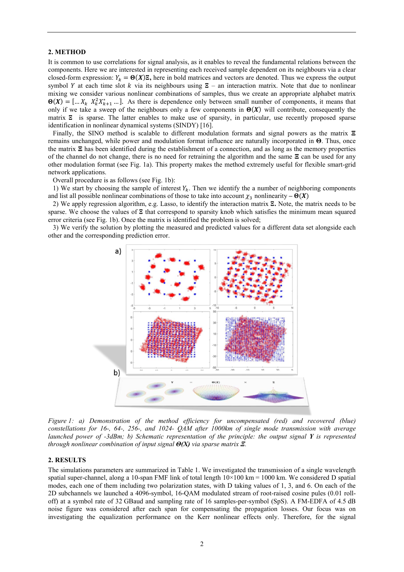#### **2. METHOD**

It is common to use correlations for signal analysis, as it enables to reveal the fundamental relations between the components. Here we are interested in representing each received sample dependent on its neighbours via a clear closed-form expression:  $Y_k = \Theta(X)\Xi$ , here in bold matrices and vectors are denoted. Thus we express the output symbol Y at each time slot k via its neighbours using  $\Sigma$  – an interaction matrix. Note that due to nonlinear mixing we consider various nonlinear combinations of samples, thus we create an appropriate alphabet matrix  $\Theta(X) = [\dots X_k \ X_k^2 X_{k+1}^* \dots]$ . As there is dependence only between small number of components, it means that only if we take a sweep of the neighbours only a few components in  $\Theta(X)$  will contribute, consequently the matrix  $\Xi$  is sparse. The latter enables to make use of sparsity, in particular, use recently proposed sparse identification in nonlinear dynamical systems (SINDY) [16].

Finally, the SINO method is scalable to different modulation formats and signal powers as the matrix **Ξ** remains unchanged, while power and modulation format influence are naturally incorporated in **Θ**. Thus, once the matrix **Ξ** has been identified during the establishment of a connection, and as long as the memory properties of the channel do not change, there is no need for retraining the algorithm and the same **Ξ** can be used for any other modulation format (see Fig. 1a). This property makes the method extremely useful for flexible smart-grid network applications.

Overall procedure is as follows (see Fig. 1b):

1) We start by choosing the sample of interest  $Y_k$ . Then we identify the a number of neighboring components and list all possible nonlinear combinations of those to take into account  $\chi_3$  nonlinearity –  $\Theta(X)$ 

2) We apply regression algorithm, e.g. Lasso, to identify the interaction matrix **.** Note, the matrix needs to be sparse. We choose the values of  $\Sigma$  that correspond to sparsity knob which satisfies the minimum mean squared error criteria (see Fig. 1b). Once the matrix is identified the problem is solved;

3) We verify the solution by plotting the measured and predicted values for a different data set alongside each other and the corresponding prediction error.



*Figure 1: a) Demonstration of the method efficiency for uncompensated (red) and recovered (blue) constellations for 16-, 64-, 256-, and 1024- QAM after 1000km of single mode transmission with average launched power of -3dBm; b) Schematic representation of the principle: the output signal Y is represented through nonlinear combination of input signal Θ(X) via sparse matrix Ξ.* 

### **2. RESULTS**

The simulations parameters are summarized in Table 1. We investigated the transmission of a single wavelength spatial super-channel, along a 10-span FMF link of total length  $10\times100$  km = 1000 km. We considered D spatial modes, each one of them including two polarization states, with D taking values of 1, 3, and 6. On each of the 2D subchannels we launched a 4096-symbol, 16-QAM modulated stream of root-raised cosine pules (0.01 rolloff) at a symbol rate of 32 GBaud and sampling rate of 16 samples-per-symbol (SpS). A FM-EDFA of 4.5 dB noise figure was considered after each span for compensating the propagation losses. Our focus was on investigating the equalization performance on the Kerr nonlinear effects only. Therefore, for the signal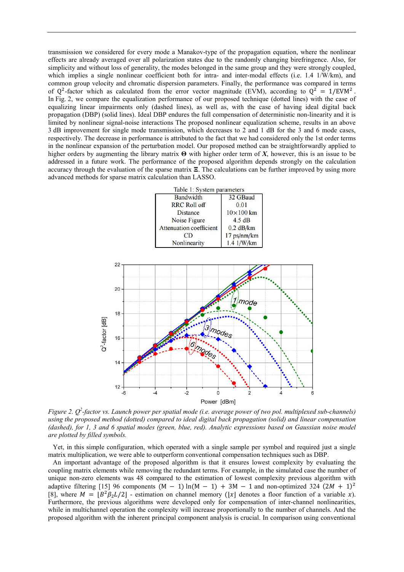transmission we considered for every mode a Manakov-type of the propagation equation, where the nonlinear effects are already averaged over all polarization states due to the randomly changing birefringence. Also, for simplicity and without loss of generality, the modes belonged in the same group and they were strongly coupled, which implies a single nonlinear coefficient both for intra- and inter-modal effects (i.e. 1.4 1/W/km), and common group velocity and chromatic dispersion parameters. Finally, the performance was compared in terms of  $Q^2$ -factor which as calculated from the error vector magnitude (EVM), according to  $Q^2 = 1/EWM^2$ . In Fig. 2, we compare the equalization performance of our proposed technique (dotted lines) with the case of equalizing linear impairments only (dashed lines), as well as, with the case of having ideal digital back propagation (DBP) (solid lines). Ideal DBP endures the full compensation of deterministic non-linearity and it is limited by nonlinear signal-noise interactions The proposed nonlinear equalization scheme, results in an above 3 dB improvement for single mode transmission, which decreases to 2 and 1 dB for the 3 and 6 mode cases, respectively. The decrease in performance is attributed to the fact that we had considered only the 1st order terms in the nonlinear expansion of the perturbation model. Our proposed method can be straightforwardly applied to higher orders by augmenting the library matrix **Θ** with higher order term of *X*, however, this is an issue to be addressed in a future work. The performance of the proposed algorithm depends strongly on the calculation accuracy through the evaluation of the sparse matrix **Ξ**. The calculations can be further improved by using more advanced methods for sparse matrix calculation than LASSO.





*Figure 2. Q<sup>2</sup> -factor vs. Launch power per spatial mode (i.e. average power of two pol. multiplexed sub-channels) using the proposed method (dotted) compared to ideal digital back propagation (solid) and linear compensation (dashed), for 1, 3 and 6 spatial modes (green, blue, red). Analytic expressions based on Gaussian noise model are plotted by filled symbols.*

Yet, in this simple configuration, which operated with a single sample per symbol and required just a single matrix multiplication, we were able to outperform conventional compensation techniques such as DBP.

An important advantage of the proposed algorithm is that it ensures lowest complexity by evaluating the coupling matrix elements while removing the redundant terms. For example, in the simulated case the number of unique non-zero elements was 48 compared to the estimation of lowest complexity previous algorithm with adaptive filtering [15] 96 components  $(M - 1) \ln(M - 1) + 3M - 1$  and non-optimized 324  $(2M + 1)^2$ [8], where  $M = |B^2 \beta_2 L/2|$  - estimation on channel memory (|x| denotes a floor function of a variable x). Furthermore, the previous algorithms were developed only for compensation of inter-channel nonlinearities, while in multichannel operation the complexity will increase proportionally to the number of channels. And the proposed algorithm with the inherent principal component analysis is crucial. In comparison using conventional